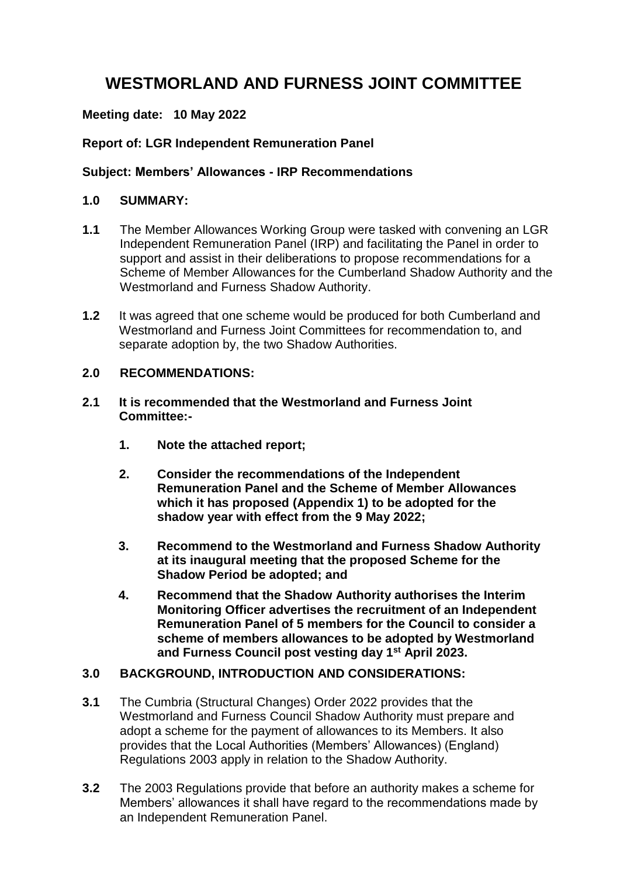# **WESTMORLAND AND FURNESS JOINT COMMITTEE**

## **Meeting date: 10 May 2022**

## **Report of: LGR Independent Remuneration Panel**

## **Subject: Members' Allowances - IRP Recommendations**

#### **1.0 SUMMARY:**

- **1.1** The Member Allowances Working Group were tasked with convening an LGR Independent Remuneration Panel (IRP) and facilitating the Panel in order to support and assist in their deliberations to propose recommendations for a Scheme of Member Allowances for the Cumberland Shadow Authority and the Westmorland and Furness Shadow Authority.
- **1.2** It was agreed that one scheme would be produced for both Cumberland and Westmorland and Furness Joint Committees for recommendation to, and separate adoption by, the two Shadow Authorities.

## **2.0 RECOMMENDATIONS:**

- **2.1 It is recommended that the Westmorland and Furness Joint Committee:-**
	- **1. Note the attached report;**
	- **2. Consider the recommendations of the Independent Remuneration Panel and the Scheme of Member Allowances which it has proposed (Appendix 1) to be adopted for the shadow year with effect from the 9 May 2022;**
	- **3. Recommend to the Westmorland and Furness Shadow Authority at its inaugural meeting that the proposed Scheme for the Shadow Period be adopted; and**
	- **4. Recommend that the Shadow Authority authorises the Interim Monitoring Officer advertises the recruitment of an Independent Remuneration Panel of 5 members for the Council to consider a scheme of members allowances to be adopted by Westmorland and Furness Council post vesting day 1st April 2023.**

# **3.0 BACKGROUND, INTRODUCTION AND CONSIDERATIONS:**

- **3.1** The Cumbria (Structural Changes) Order 2022 provides that the Westmorland and Furness Council Shadow Authority must prepare and adopt a scheme for the payment of allowances to its Members. It also provides that the Local Authorities (Members' Allowances) (England) Regulations 2003 apply in relation to the Shadow Authority.
- **3.2** The 2003 Regulations provide that before an authority makes a scheme for Members' allowances it shall have regard to the recommendations made by an Independent Remuneration Panel.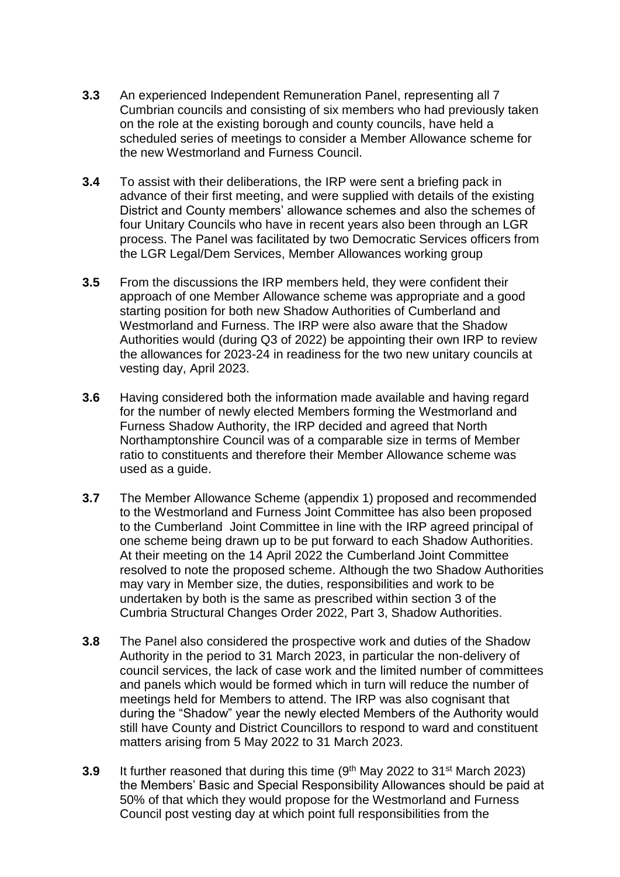- **3.3** An experienced Independent Remuneration Panel, representing all 7 Cumbrian councils and consisting of six members who had previously taken on the role at the existing borough and county councils, have held a scheduled series of meetings to consider a Member Allowance scheme for the new Westmorland and Furness Council.
- **3.4** To assist with their deliberations, the IRP were sent a briefing pack in advance of their first meeting, and were supplied with details of the existing District and County members' allowance schemes and also the schemes of four Unitary Councils who have in recent years also been through an LGR process. The Panel was facilitated by two Democratic Services officers from the LGR Legal/Dem Services, Member Allowances working group
- **3.5** From the discussions the IRP members held, they were confident their approach of one Member Allowance scheme was appropriate and a good starting position for both new Shadow Authorities of Cumberland and Westmorland and Furness. The IRP were also aware that the Shadow Authorities would (during Q3 of 2022) be appointing their own IRP to review the allowances for 2023-24 in readiness for the two new unitary councils at vesting day, April 2023.
- **3.6** Having considered both the information made available and having regard for the number of newly elected Members forming the Westmorland and Furness Shadow Authority, the IRP decided and agreed that North Northamptonshire Council was of a comparable size in terms of Member ratio to constituents and therefore their Member Allowance scheme was used as a guide.
- **3.7** The Member Allowance Scheme (appendix 1) proposed and recommended to the Westmorland and Furness Joint Committee has also been proposed to the Cumberland Joint Committee in line with the IRP agreed principal of one scheme being drawn up to be put forward to each Shadow Authorities. At their meeting on the 14 April 2022 the Cumberland Joint Committee resolved to note the proposed scheme. Although the two Shadow Authorities may vary in Member size, the duties, responsibilities and work to be undertaken by both is the same as prescribed within section 3 of the Cumbria Structural Changes Order 2022, Part 3, Shadow Authorities.
- **3.8** The Panel also considered the prospective work and duties of the Shadow Authority in the period to 31 March 2023, in particular the non-delivery of council services, the lack of case work and the limited number of committees and panels which would be formed which in turn will reduce the number of meetings held for Members to attend. The IRP was also cognisant that during the "Shadow" year the newly elected Members of the Authority would still have County and District Councillors to respond to ward and constituent matters arising from 5 May 2022 to 31 March 2023.
- **3.9** It further reasoned that during this time (9<sup>th</sup> May 2022 to 31<sup>st</sup> March 2023) the Members' Basic and Special Responsibility Allowances should be paid at 50% of that which they would propose for the Westmorland and Furness Council post vesting day at which point full responsibilities from the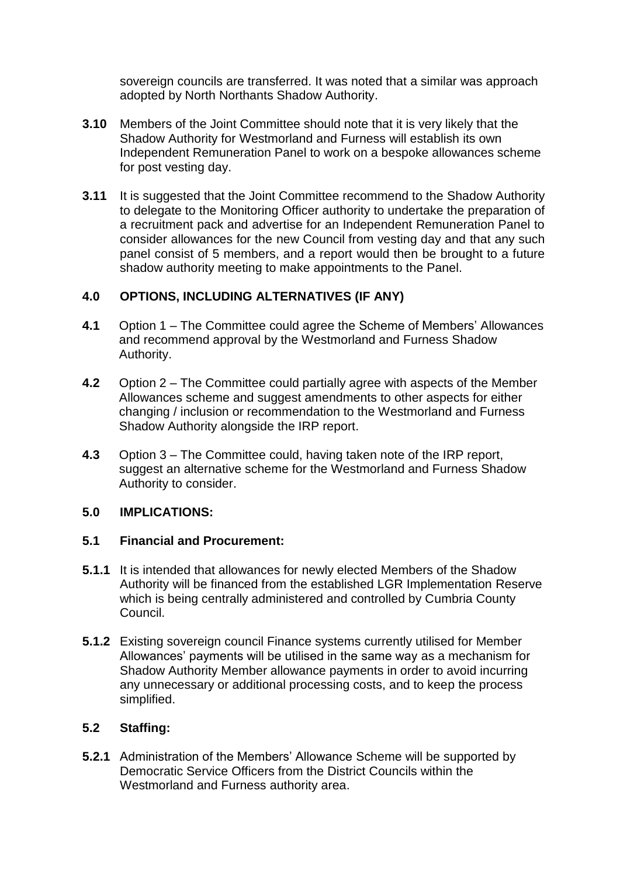sovereign councils are transferred. It was noted that a similar was approach adopted by North Northants Shadow Authority.

- **3.10** Members of the Joint Committee should note that it is very likely that the Shadow Authority for Westmorland and Furness will establish its own Independent Remuneration Panel to work on a bespoke allowances scheme for post vesting day.
- **3.11** It is suggested that the Joint Committee recommend to the Shadow Authority to delegate to the Monitoring Officer authority to undertake the preparation of a recruitment pack and advertise for an Independent Remuneration Panel to consider allowances for the new Council from vesting day and that any such panel consist of 5 members, and a report would then be brought to a future shadow authority meeting to make appointments to the Panel.

## **4.0 OPTIONS, INCLUDING ALTERNATIVES (IF ANY)**

- **4.1** Option 1 The Committee could agree the Scheme of Members' Allowances and recommend approval by the Westmorland and Furness Shadow Authority.
- **4.2** Option 2 The Committee could partially agree with aspects of the Member Allowances scheme and suggest amendments to other aspects for either changing / inclusion or recommendation to the Westmorland and Furness Shadow Authority alongside the IRP report.
- **4.3** Option 3 The Committee could, having taken note of the IRP report, suggest an alternative scheme for the Westmorland and Furness Shadow Authority to consider.

#### **5.0 IMPLICATIONS:**

#### **5.1 Financial and Procurement:**

- **5.1.1** It is intended that allowances for newly elected Members of the Shadow Authority will be financed from the established LGR Implementation Reserve which is being centrally administered and controlled by Cumbria County Council.
- **5.1.2** Existing sovereign council Finance systems currently utilised for Member Allowances' payments will be utilised in the same way as a mechanism for Shadow Authority Member allowance payments in order to avoid incurring any unnecessary or additional processing costs, and to keep the process simplified.

# **5.2 Staffing:**

**5.2.1** Administration of the Members' Allowance Scheme will be supported by Democratic Service Officers from the District Councils within the Westmorland and Furness authority area.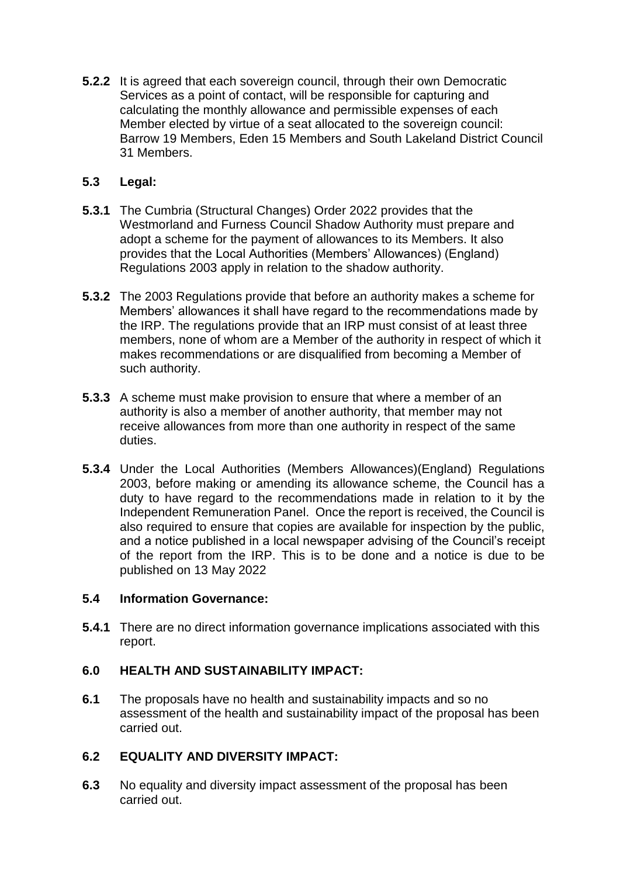**5.2.2** It is agreed that each sovereign council, through their own Democratic Services as a point of contact, will be responsible for capturing and calculating the monthly allowance and permissible expenses of each Member elected by virtue of a seat allocated to the sovereign council: Barrow 19 Members, Eden 15 Members and South Lakeland District Council 31 Members.

# **5.3 Legal:**

- **5.3.1** The Cumbria (Structural Changes) Order 2022 provides that the Westmorland and Furness Council Shadow Authority must prepare and adopt a scheme for the payment of allowances to its Members. It also provides that the Local Authorities (Members' Allowances) (England) Regulations 2003 apply in relation to the shadow authority.
- **5.3.2** The 2003 Regulations provide that before an authority makes a scheme for Members' allowances it shall have regard to the recommendations made by the IRP. The regulations provide that an IRP must consist of at least three members, none of whom are a Member of the authority in respect of which it makes recommendations or are disqualified from becoming a Member of such authority.
- **5.3.3** A scheme must make provision to ensure that where a member of an authority is also a member of another authority, that member may not receive allowances from more than one authority in respect of the same duties.
- **5.3.4** Under the Local Authorities (Members Allowances)(England) Regulations 2003, before making or amending its allowance scheme, the Council has a duty to have regard to the recommendations made in relation to it by the Independent Remuneration Panel. Once the report is received, the Council is also required to ensure that copies are available for inspection by the public, and a notice published in a local newspaper advising of the Council's receipt of the report from the IRP. This is to be done and a notice is due to be published on 13 May 2022

# **5.4 Information Governance:**

**5.4.1** There are no direct information governance implications associated with this report.

# **6.0 HEALTH AND SUSTAINABILITY IMPACT:**

**6.1** The proposals have no health and sustainability impacts and so no assessment of the health and sustainability impact of the proposal has been carried out.

# **6.2 EQUALITY AND DIVERSITY IMPACT:**

**6.3** No equality and diversity impact assessment of the proposal has been carried out.